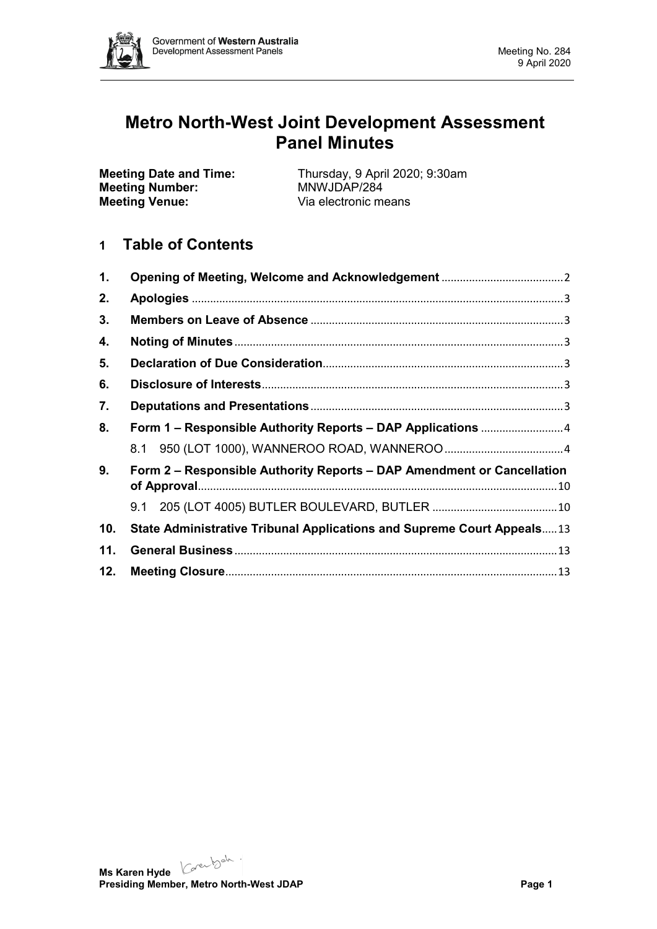

# **Metro North-West Joint Development Assessment Panel Minutes**

**Meeting Number:**<br>Meeting Venue:

**Meeting Date and Time:** Thursday, 9 April 2020; 9:30am<br> **Meeting Number:** MNWJDAP/284 Via electronic means

# **1 Table of Contents**

| 1.  |                                                                        |  |  |
|-----|------------------------------------------------------------------------|--|--|
| 2.  |                                                                        |  |  |
| 3.  |                                                                        |  |  |
| 4.  |                                                                        |  |  |
| 5.  |                                                                        |  |  |
| 6.  |                                                                        |  |  |
| 7.  |                                                                        |  |  |
| 8.  |                                                                        |  |  |
|     |                                                                        |  |  |
| 9.  | Form 2 - Responsible Authority Reports - DAP Amendment or Cancellation |  |  |
|     |                                                                        |  |  |
| 10. | State Administrative Tribunal Applications and Supreme Court Appeals13 |  |  |
| 11. |                                                                        |  |  |
| 12. |                                                                        |  |  |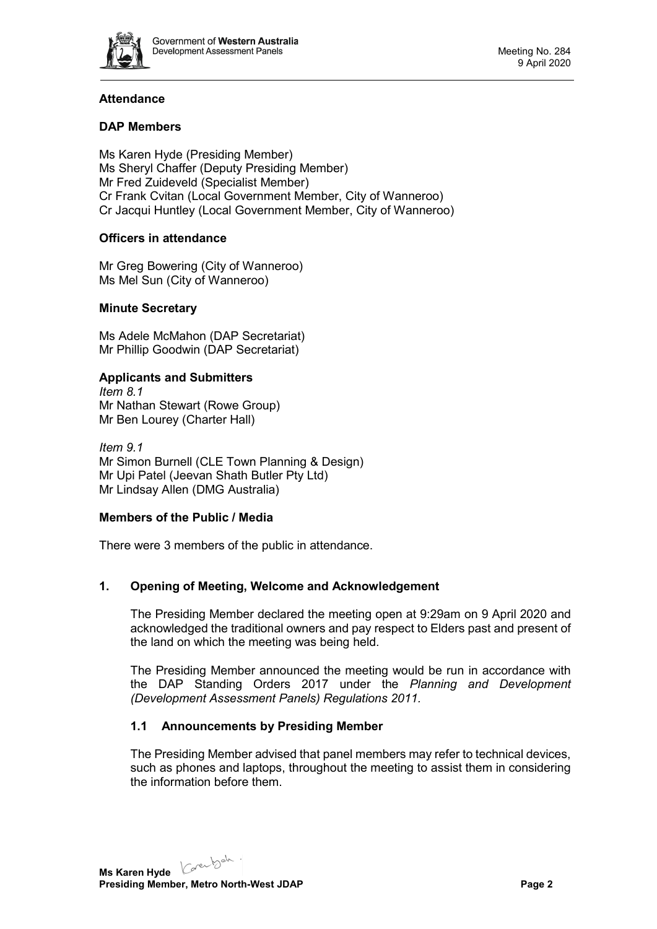

# **Attendance**

# **DAP Members**

Ms Karen Hyde (Presiding Member) Ms Sheryl Chaffer (Deputy Presiding Member) Mr Fred Zuideveld (Specialist Member) Cr Frank Cvitan (Local Government Member, City of Wanneroo) Cr Jacqui Huntley (Local Government Member, City of Wanneroo)

# **Officers in attendance**

Mr Greg Bowering (City of Wanneroo) Ms Mel Sun (City of Wanneroo)

# **Minute Secretary**

Ms Adele McMahon (DAP Secretariat) Mr Phillip Goodwin (DAP Secretariat)

# **Applicants and Submitters**

*Item 8.1* Mr Nathan Stewart (Rowe Group) Mr Ben Lourey (Charter Hall)

*Item 9.1* Mr Simon Burnell (CLE Town Planning & Design) Mr Upi Patel (Jeevan Shath Butler Pty Ltd) Mr Lindsay Allen (DMG Australia)

# **Members of the Public / Media**

There were 3 members of the public in attendance.

# <span id="page-1-0"></span>**1. Opening of Meeting, Welcome and Acknowledgement**

The Presiding Member declared the meeting open at 9:29am on 9 April 2020 and acknowledged the traditional owners and pay respect to Elders past and present of the land on which the meeting was being held.

The Presiding Member announced the meeting would be run in accordance with the DAP Standing Orders 2017 under the *Planning and Development (Development Assessment Panels) Regulations 2011.*

# **1.1 Announcements by Presiding Member**

The Presiding Member advised that panel members may refer to technical devices, such as phones and laptops, throughout the meeting to assist them in considering the information before them.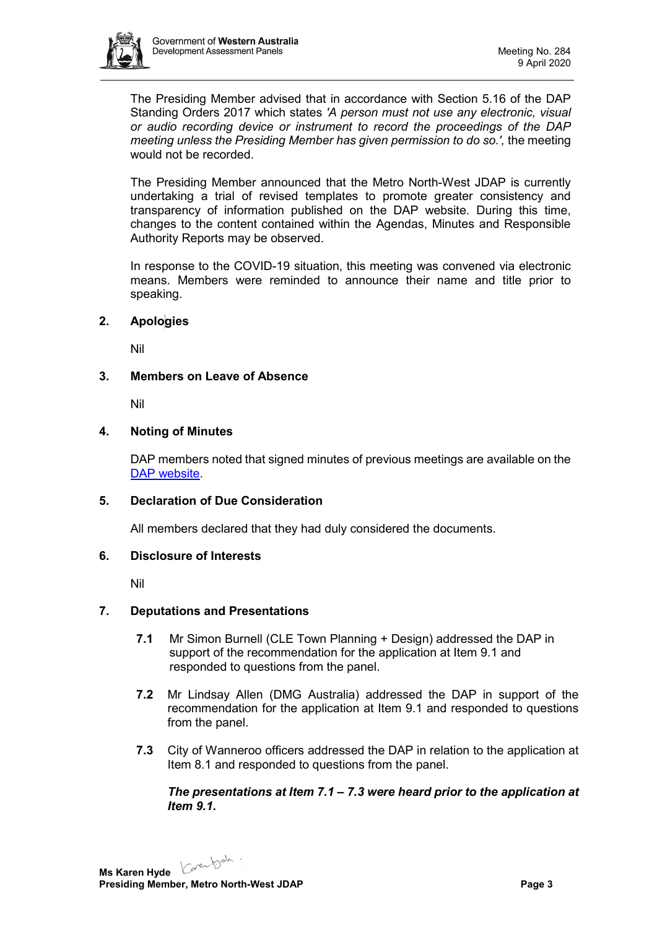

The Presiding Member advised that in accordance with Section 5.16 of the DAP Standing Orders 2017 which states *'A person must not use any electronic, visual or audio recording device or instrument to record the proceedings of the DAP meeting unless the Presiding Member has given permission to do so.',* the meeting would not be recorded.

The Presiding Member announced that the Metro North-West JDAP is currently undertaking a trial of revised templates to promote greater consistency and transparency of information published on the DAP website. During this time, changes to the content contained within the Agendas, Minutes and Responsible Authority Reports may be observed.

In response to the COVID-19 situation, this meeting was convened via electronic means. Members were reminded to announce their name and title prior to speaking.

# <span id="page-2-0"></span>**2. Apologies**

Nil

#### <span id="page-2-1"></span>**3. Members on Leave of Absence**

Nil

#### <span id="page-2-2"></span>**4. Noting of Minutes**

DAP members noted that signed minutes of previous meetings are available on the [DAP website.](https://www.dplh.wa.gov.au/about/development-assessment-panels/daps-agendas-and-minutes)

#### <span id="page-2-3"></span>**5. Declaration of Due Consideration**

All members declared that they had duly considered the documents.

#### <span id="page-2-4"></span>**6. Disclosure of Interests**

Nil

#### <span id="page-2-5"></span>**7. Deputations and Presentations**

- **7.1** Mr Simon Burnell (CLE Town Planning + Design) addressed the DAP in support of the recommendation for the application at Item 9.1 and responded to questions from the panel.
- **7.2** Mr Lindsay Allen (DMG Australia) addressed the DAP in support of the recommendation for the application at Item 9.1 and responded to questions from the panel.
- **7.3** City of Wanneroo officers addressed the DAP in relation to the application at Item 8.1 and responded to questions from the panel.

#### *The presentations at Item 7.1 – 7.3 were heard prior to the application at Item 9.1.*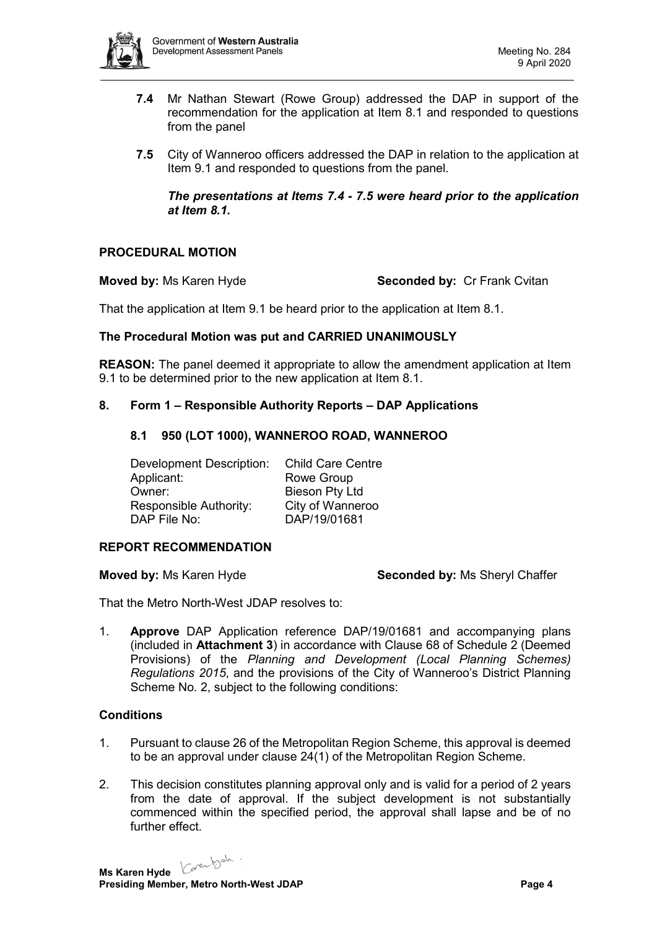

- **7.4** Mr Nathan Stewart (Rowe Group) addressed the DAP in support of the recommendation for the application at Item 8.1 and responded to questions from the panel
- **7.5** City of Wanneroo officers addressed the DAP in relation to the application at Item 9.1 and responded to questions from the panel.

*The presentations at Items 7.4 - 7.5 were heard prior to the application at Item 8.1.* 

# **PROCEDURAL MOTION**

**Moved by:** Ms Karen Hyde **Seconded by: Cr Frank Cvitan** 

That the application at Item 9.1 be heard prior to the application at Item 8.1.

#### **The Procedural Motion was put and CARRIED UNANIMOUSLY**

**REASON:** The panel deemed it appropriate to allow the amendment application at Item 9.1 to be determined prior to the new application at Item 8.1.

#### <span id="page-3-1"></span><span id="page-3-0"></span>**8. Form 1 – Responsible Authority Reports – DAP Applications**

#### **8.1 950 (LOT 1000), WANNEROO ROAD, WANNEROO**

Development Description: Child Care Centre Applicant: Rowe Group<br>
Owner: Bieson Ptv Lt Responsible Authority: City of Wanneroo<br>DAP File No: DAP/19/01681

Bieson Pty Ltd DAP/19/01681

#### **REPORT RECOMMENDATION**

**Moved by:** Ms Karen Hyde **Seconded by:** Ms Sheryl Chaffer

That the Metro North-West JDAP resolves to:

1. **Approve** DAP Application reference DAP/19/01681 and accompanying plans (included in **Attachment 3**) in accordance with Clause 68 of Schedule 2 (Deemed Provisions) of the *Planning and Development (Local Planning Schemes) Regulations 2015*, and the provisions of the City of Wanneroo's District Planning Scheme No. 2, subject to the following conditions:

#### **Conditions**

- 1. Pursuant to clause 26 of the Metropolitan Region Scheme, this approval is deemed to be an approval under clause 24(1) of the Metropolitan Region Scheme.
- 2. This decision constitutes planning approval only and is valid for a period of 2 years from the date of approval. If the subject development is not substantially commenced within the specified period, the approval shall lapse and be of no further effect.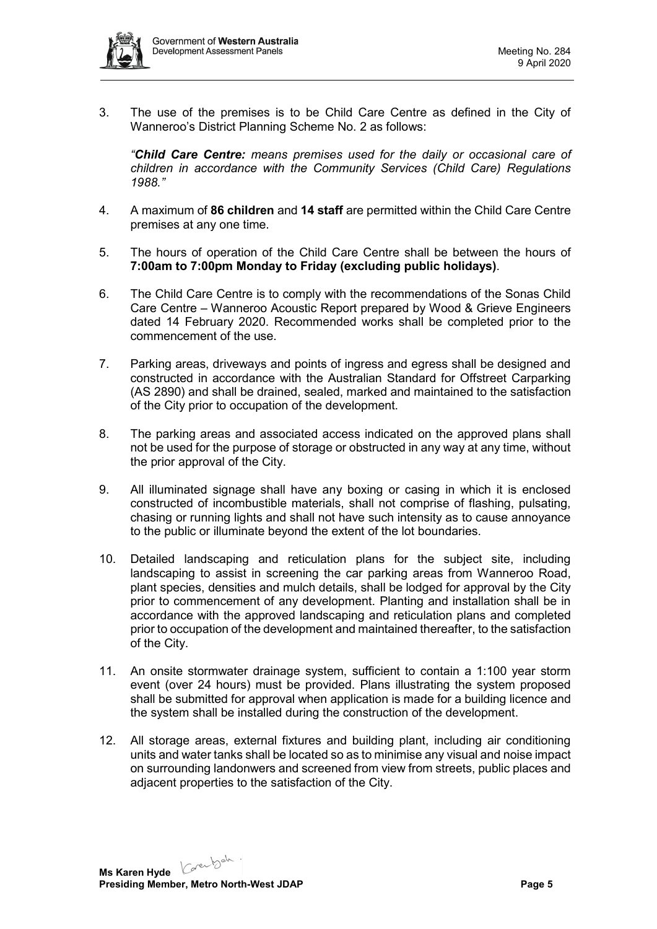

3. The use of the premises is to be Child Care Centre as defined in the City of Wanneroo's District Planning Scheme No. 2 as follows:

*"Child Care Centre: means premises used for the daily or occasional care of children in accordance with the Community Services (Child Care) Regulations 1988."*

- 4. A maximum of **86 children** and **14 staff** are permitted within the Child Care Centre premises at any one time.
- 5. The hours of operation of the Child Care Centre shall be between the hours of **7:00am to 7:00pm Monday to Friday (excluding public holidays)**.
- 6. The Child Care Centre is to comply with the recommendations of the Sonas Child Care Centre – Wanneroo Acoustic Report prepared by Wood & Grieve Engineers dated 14 February 2020. Recommended works shall be completed prior to the commencement of the use.
- 7. Parking areas, driveways and points of ingress and egress shall be designed and constructed in accordance with the Australian Standard for Offstreet Carparking (AS 2890) and shall be drained, sealed, marked and maintained to the satisfaction of the City prior to occupation of the development.
- 8. The parking areas and associated access indicated on the approved plans shall not be used for the purpose of storage or obstructed in any way at any time, without the prior approval of the City.
- 9. All illuminated signage shall have any boxing or casing in which it is enclosed constructed of incombustible materials, shall not comprise of flashing, pulsating, chasing or running lights and shall not have such intensity as to cause annoyance to the public or illuminate beyond the extent of the lot boundaries.
- 10. Detailed landscaping and reticulation plans for the subject site, including landscaping to assist in screening the car parking areas from Wanneroo Road, plant species, densities and mulch details, shall be lodged for approval by the City prior to commencement of any development. Planting and installation shall be in accordance with the approved landscaping and reticulation plans and completed prior to occupation of the development and maintained thereafter, to the satisfaction of the City.
- 11. An onsite stormwater drainage system, sufficient to contain a 1:100 year storm event (over 24 hours) must be provided. Plans illustrating the system proposed shall be submitted for approval when application is made for a building licence and the system shall be installed during the construction of the development.
- 12. All storage areas, external fixtures and building plant, including air conditioning units and water tanks shall be located so as to minimise any visual and noise impact on surrounding landonwers and screened from view from streets, public places and adjacent properties to the satisfaction of the City.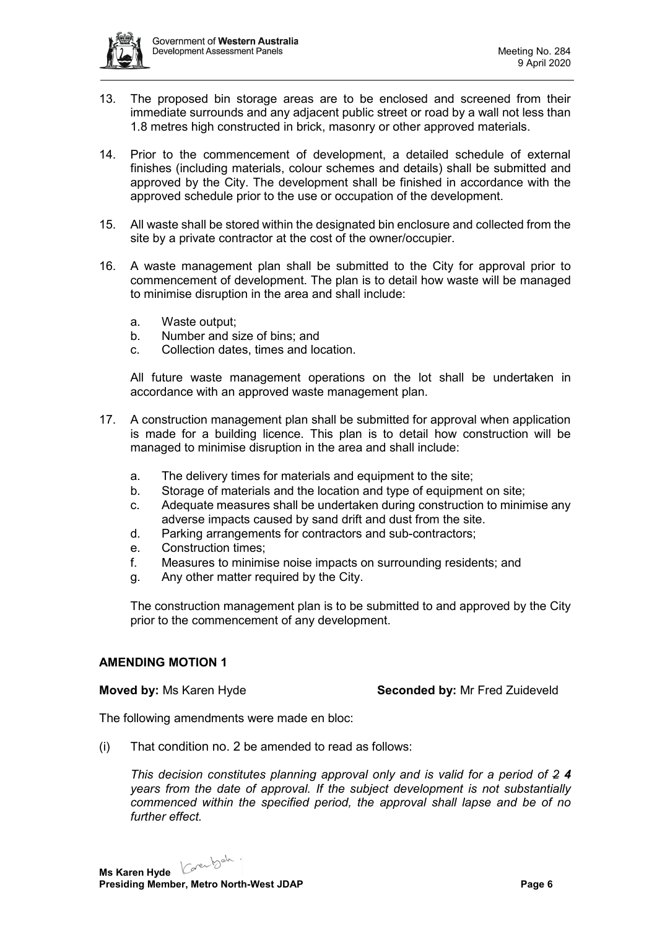

- 13. The proposed bin storage areas are to be enclosed and screened from their immediate surrounds and any adjacent public street or road by a wall not less than 1.8 metres high constructed in brick, masonry or other approved materials.
- 14. Prior to the commencement of development, a detailed schedule of external finishes (including materials, colour schemes and details) shall be submitted and approved by the City. The development shall be finished in accordance with the approved schedule prior to the use or occupation of the development.
- 15. All waste shall be stored within the designated bin enclosure and collected from the site by a private contractor at the cost of the owner/occupier.
- 16. A waste management plan shall be submitted to the City for approval prior to commencement of development. The plan is to detail how waste will be managed to minimise disruption in the area and shall include:
	- a. Waste output;
	- b. Number and size of bins; and
	- c. Collection dates, times and location.

All future waste management operations on the lot shall be undertaken in accordance with an approved waste management plan.

- 17. A construction management plan shall be submitted for approval when application is made for a building licence. This plan is to detail how construction will be managed to minimise disruption in the area and shall include:
	- a. The delivery times for materials and equipment to the site;
	- b. Storage of materials and the location and type of equipment on site;
	- c. Adequate measures shall be undertaken during construction to minimise any adverse impacts caused by sand drift and dust from the site.
	- d. Parking arrangements for contractors and sub-contractors;
	- e. Construction times;
	- f. Measures to minimise noise impacts on surrounding residents; and
	- g. Any other matter required by the City.

The construction management plan is to be submitted to and approved by the City prior to the commencement of any development.

#### **AMENDING MOTION 1**

**Moved by:** Ms Karen Hyde **Seconded by:** Mr Fred Zuideveld

The following amendments were made en bloc:

(i) That condition no. 2 be amended to read as follows:

*This decision constitutes planning approval only and is valid for a period of 2 4 years from the date of approval. If the subject development is not substantially commenced within the specified period, the approval shall lapse and be of no further effect.*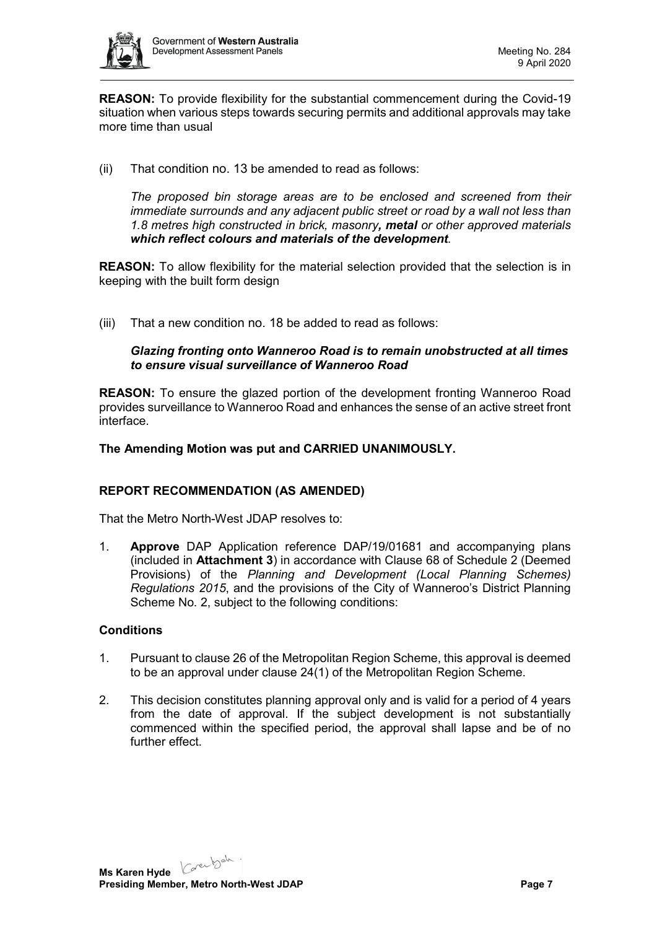

**REASON:** To provide flexibility for the substantial commencement during the Covid-19 situation when various steps towards securing permits and additional approvals may take more time than usual

(ii) That condition no. 13 be amended to read as follows:

*The proposed bin storage areas are to be enclosed and screened from their immediate surrounds and any adjacent public street or road by a wall not less than 1.8 metres high constructed in brick, masonry, metal or other approved materials which reflect colours and materials of the development.*

**REASON:** To allow flexibility for the material selection provided that the selection is in keeping with the built form design

(iii) That a new condition no. 18 be added to read as follows:

# *Glazing fronting onto Wanneroo Road is to remain unobstructed at all times to ensure visual surveillance of Wanneroo Road*

**REASON:** To ensure the glazed portion of the development fronting Wanneroo Road provides surveillance to Wanneroo Road and enhances the sense of an active street front interface.

# **The Amending Motion was put and CARRIED UNANIMOUSLY.**

# **REPORT RECOMMENDATION (AS AMENDED)**

That the Metro North-West JDAP resolves to:

1. **Approve** DAP Application reference DAP/19/01681 and accompanying plans (included in **Attachment 3**) in accordance with Clause 68 of Schedule 2 (Deemed Provisions) of the *Planning and Development (Local Planning Schemes) Regulations 2015*, and the provisions of the City of Wanneroo's District Planning Scheme No. 2, subject to the following conditions:

# **Conditions**

- 1. Pursuant to clause 26 of the Metropolitan Region Scheme, this approval is deemed to be an approval under clause 24(1) of the Metropolitan Region Scheme.
- 2. This decision constitutes planning approval only and is valid for a period of 4 years from the date of approval. If the subject development is not substantially commenced within the specified period, the approval shall lapse and be of no further effect.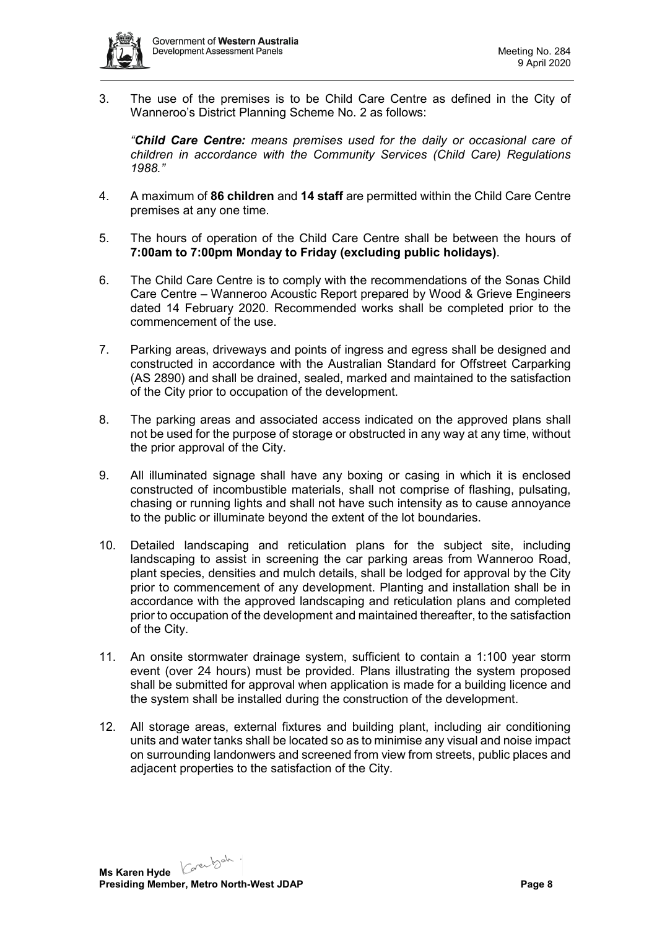

3. The use of the premises is to be Child Care Centre as defined in the City of Wanneroo's District Planning Scheme No. 2 as follows:

*"Child Care Centre: means premises used for the daily or occasional care of children in accordance with the Community Services (Child Care) Regulations 1988."*

- 4. A maximum of **86 children** and **14 staff** are permitted within the Child Care Centre premises at any one time.
- 5. The hours of operation of the Child Care Centre shall be between the hours of **7:00am to 7:00pm Monday to Friday (excluding public holidays)**.
- 6. The Child Care Centre is to comply with the recommendations of the Sonas Child Care Centre – Wanneroo Acoustic Report prepared by Wood & Grieve Engineers dated 14 February 2020. Recommended works shall be completed prior to the commencement of the use.
- 7. Parking areas, driveways and points of ingress and egress shall be designed and constructed in accordance with the Australian Standard for Offstreet Carparking (AS 2890) and shall be drained, sealed, marked and maintained to the satisfaction of the City prior to occupation of the development.
- 8. The parking areas and associated access indicated on the approved plans shall not be used for the purpose of storage or obstructed in any way at any time, without the prior approval of the City.
- 9. All illuminated signage shall have any boxing or casing in which it is enclosed constructed of incombustible materials, shall not comprise of flashing, pulsating, chasing or running lights and shall not have such intensity as to cause annoyance to the public or illuminate beyond the extent of the lot boundaries.
- 10. Detailed landscaping and reticulation plans for the subject site, including landscaping to assist in screening the car parking areas from Wanneroo Road, plant species, densities and mulch details, shall be lodged for approval by the City prior to commencement of any development. Planting and installation shall be in accordance with the approved landscaping and reticulation plans and completed prior to occupation of the development and maintained thereafter, to the satisfaction of the City.
- 11. An onsite stormwater drainage system, sufficient to contain a 1:100 year storm event (over 24 hours) must be provided. Plans illustrating the system proposed shall be submitted for approval when application is made for a building licence and the system shall be installed during the construction of the development.
- 12. All storage areas, external fixtures and building plant, including air conditioning units and water tanks shall be located so as to minimise any visual and noise impact on surrounding landonwers and screened from view from streets, public places and adjacent properties to the satisfaction of the City.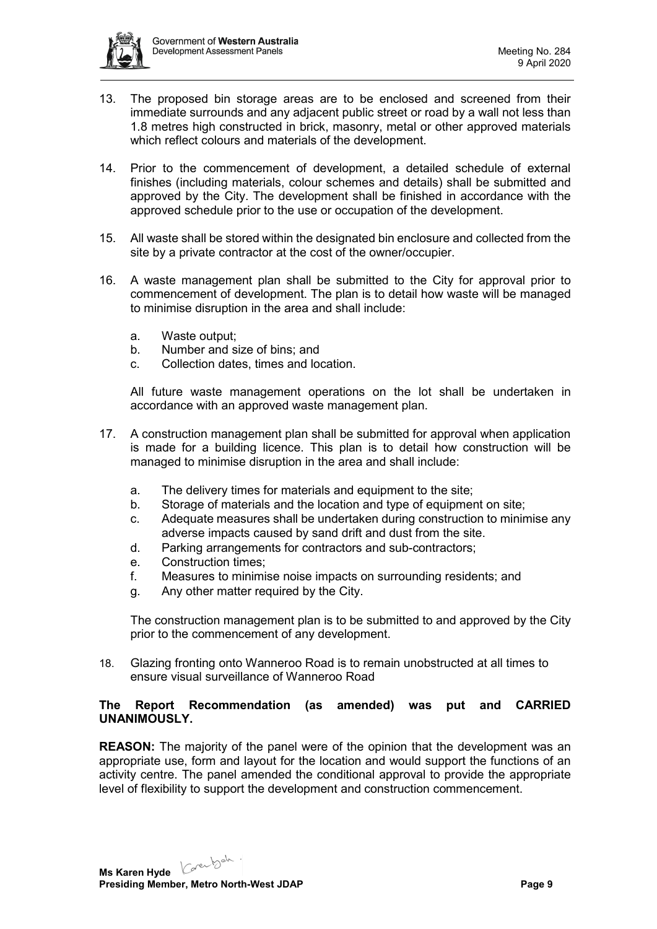

- 13. The proposed bin storage areas are to be enclosed and screened from their immediate surrounds and any adjacent public street or road by a wall not less than 1.8 metres high constructed in brick, masonry, metal or other approved materials which reflect colours and materials of the development.
- 14. Prior to the commencement of development, a detailed schedule of external finishes (including materials, colour schemes and details) shall be submitted and approved by the City. The development shall be finished in accordance with the approved schedule prior to the use or occupation of the development.
- 15. All waste shall be stored within the designated bin enclosure and collected from the site by a private contractor at the cost of the owner/occupier.
- 16. A waste management plan shall be submitted to the City for approval prior to commencement of development. The plan is to detail how waste will be managed to minimise disruption in the area and shall include:
	- a. Waste output;
	- b. Number and size of bins; and
	- c. Collection dates, times and location.

All future waste management operations on the lot shall be undertaken in accordance with an approved waste management plan.

- 17. A construction management plan shall be submitted for approval when application is made for a building licence. This plan is to detail how construction will be managed to minimise disruption in the area and shall include:
	- a. The delivery times for materials and equipment to the site;
	- b. Storage of materials and the location and type of equipment on site;
	- c. Adequate measures shall be undertaken during construction to minimise any adverse impacts caused by sand drift and dust from the site.
	- d. Parking arrangements for contractors and sub-contractors;
	- e. Construction times;
	- f. Measures to minimise noise impacts on surrounding residents; and
	- g. Any other matter required by the City.

The construction management plan is to be submitted to and approved by the City prior to the commencement of any development.

18. Glazing fronting onto Wanneroo Road is to remain unobstructed at all times to ensure visual surveillance of Wanneroo Road

## **The Report Recommendation (as amended) was put and CARRIED UNANIMOUSLY.**

**REASON:** The majority of the panel were of the opinion that the development was an appropriate use, form and layout for the location and would support the functions of an activity centre. The panel amended the conditional approval to provide the appropriate level of flexibility to support the development and construction commencement.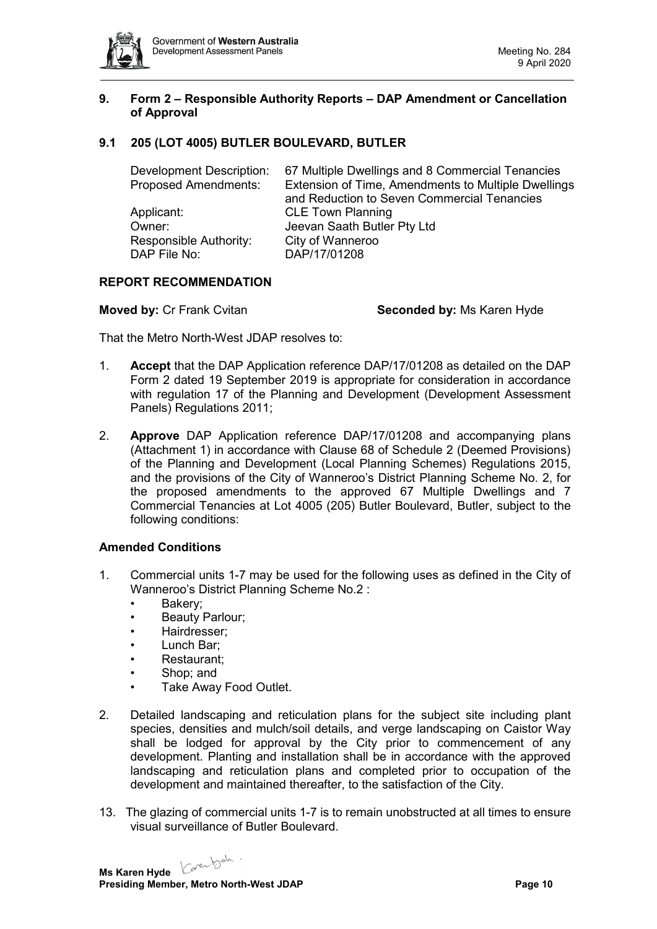

## <span id="page-9-0"></span>**9. Form 2 – Responsible Authority Reports – DAP Amendment or Cancellation of Approval**

# <span id="page-9-1"></span>**9.1 205 (LOT 4005) BUTLER BOULEVARD, BUTLER**

| 67 Multiple Dwellings and 8 Commercial Tenancies    |  |  |
|-----------------------------------------------------|--|--|
| Extension of Time, Amendments to Multiple Dwellings |  |  |
| and Reduction to Seven Commercial Tenancies         |  |  |
| <b>CLE Town Planning</b>                            |  |  |
| Jeevan Saath Butler Pty Ltd                         |  |  |
| City of Wanneroo                                    |  |  |
| DAP/17/01208                                        |  |  |
|                                                     |  |  |

#### **REPORT RECOMMENDATION**

**Moved by:** Cr Frank Cvitan **Seconded by:** Ms Karen Hyde

That the Metro North-West JDAP resolves to:

- 1. **Accept** that the DAP Application reference DAP/17/01208 as detailed on the DAP Form 2 dated 19 September 2019 is appropriate for consideration in accordance with regulation 17 of the Planning and Development (Development Assessment Panels) Regulations 2011;
- 2. **Approve** DAP Application reference DAP/17/01208 and accompanying plans (Attachment 1) in accordance with Clause 68 of Schedule 2 (Deemed Provisions) of the Planning and Development (Local Planning Schemes) Regulations 2015, and the provisions of the City of Wanneroo's District Planning Scheme No. 2, for the proposed amendments to the approved 67 Multiple Dwellings and 7 Commercial Tenancies at Lot 4005 (205) Butler Boulevard, Butler, subject to the following conditions:

#### **Amended Conditions**

- 1. Commercial units 1-7 may be used for the following uses as defined in the City of Wanneroo's District Planning Scheme No.2 :
	- Bakery;
	- Beauty Parlour;
	- Hairdresser;
	- Lunch Bar:
	- Restaurant:
	- Shop; and
	- Take Away Food Outlet.
- 2. Detailed landscaping and reticulation plans for the subject site including plant species, densities and mulch/soil details, and verge landscaping on Caistor Way shall be lodged for approval by the City prior to commencement of any development. Planting and installation shall be in accordance with the approved landscaping and reticulation plans and completed prior to occupation of the development and maintained thereafter, to the satisfaction of the City.
- 13. The glazing of commercial units 1-7 is to remain unobstructed at all times to ensure visual surveillance of Butler Boulevard.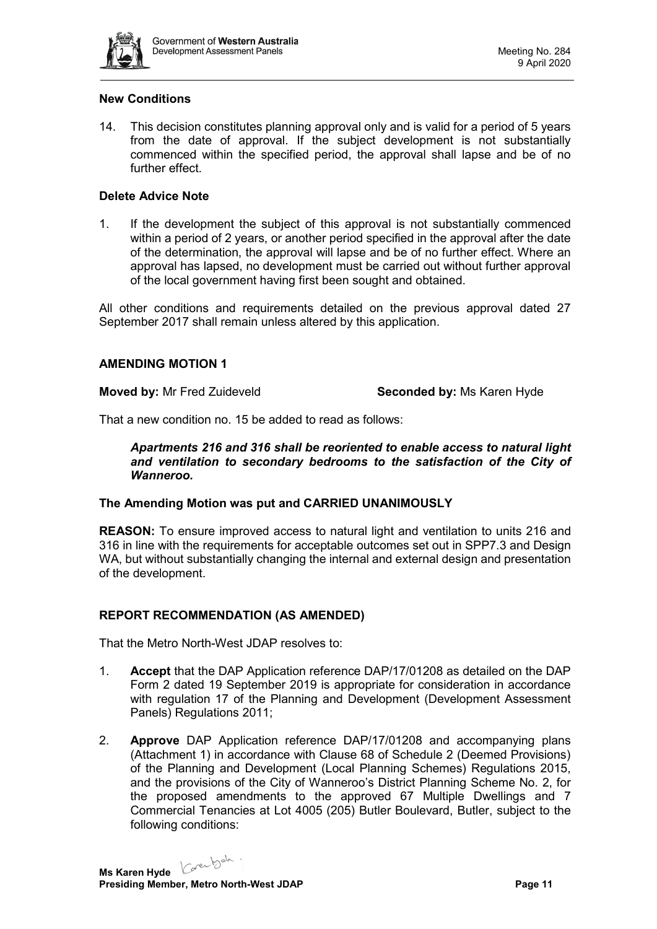

## **New Conditions**

14. This decision constitutes planning approval only and is valid for a period of 5 years from the date of approval. If the subject development is not substantially commenced within the specified period, the approval shall lapse and be of no further effect.

#### **Delete Advice Note**

1. If the development the subject of this approval is not substantially commenced within a period of 2 years, or another period specified in the approval after the date of the determination, the approval will lapse and be of no further effect. Where an approval has lapsed, no development must be carried out without further approval of the local government having first been sought and obtained.

All other conditions and requirements detailed on the previous approval dated 27 September 2017 shall remain unless altered by this application.

#### **AMENDING MOTION 1**

**Moved by:** Mr Fred Zuideveld **Seconded by:** Ms Karen Hyde

That a new condition no. 15 be added to read as follows:

*Apartments 216 and 316 shall be reoriented to enable access to natural light and ventilation to secondary bedrooms to the satisfaction of the City of Wanneroo.*

#### **The Amending Motion was put and CARRIED UNANIMOUSLY**

**REASON:** To ensure improved access to natural light and ventilation to units 216 and 316 in line with the requirements for acceptable outcomes set out in SPP7.3 and Design WA, but without substantially changing the internal and external design and presentation of the development.

# **REPORT RECOMMENDATION (AS AMENDED)**

That the Metro North-West JDAP resolves to:

- 1. **Accept** that the DAP Application reference DAP/17/01208 as detailed on the DAP Form 2 dated 19 September 2019 is appropriate for consideration in accordance with regulation 17 of the Planning and Development (Development Assessment Panels) Regulations 2011;
- 2. **Approve** DAP Application reference DAP/17/01208 and accompanying plans (Attachment 1) in accordance with Clause 68 of Schedule 2 (Deemed Provisions) of the Planning and Development (Local Planning Schemes) Regulations 2015, and the provisions of the City of Wanneroo's District Planning Scheme No. 2, for the proposed amendments to the approved 67 Multiple Dwellings and 7 Commercial Tenancies at Lot 4005 (205) Butler Boulevard, Butler, subject to the following conditions: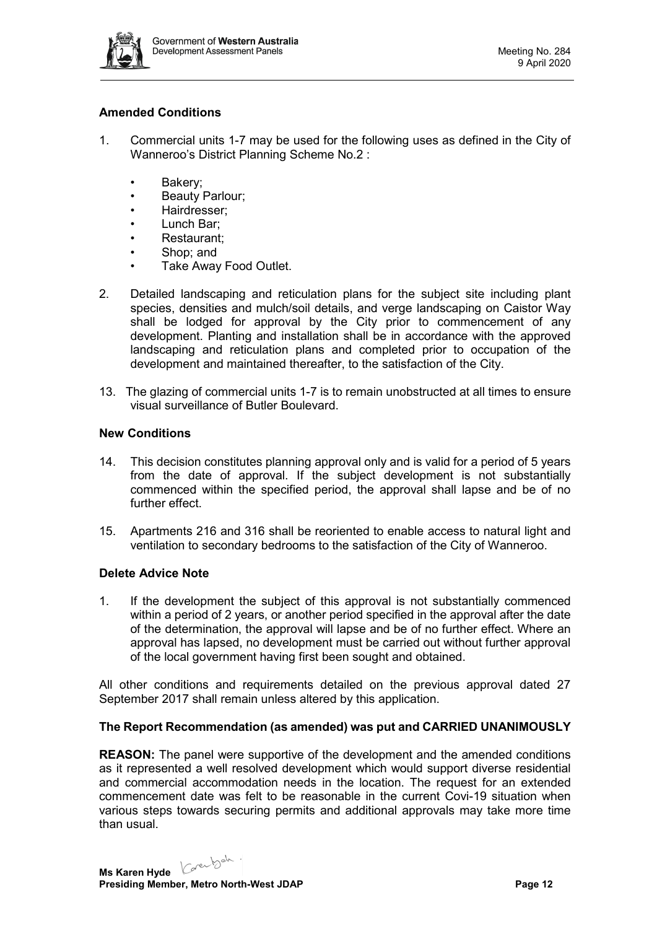

# **Amended Conditions**

- 1. Commercial units 1-7 may be used for the following uses as defined in the City of Wanneroo's District Planning Scheme No.2 :
	- Bakery;
	- **Beauty Parlour;**
	- Hairdresser;
	- Lunch Bar;
	- Restaurant;
	- Shop; and
	- Take Away Food Outlet.
- 2. Detailed landscaping and reticulation plans for the subject site including plant species, densities and mulch/soil details, and verge landscaping on Caistor Way shall be lodged for approval by the City prior to commencement of any development. Planting and installation shall be in accordance with the approved landscaping and reticulation plans and completed prior to occupation of the development and maintained thereafter, to the satisfaction of the City.
- 13. The glazing of commercial units 1-7 is to remain unobstructed at all times to ensure visual surveillance of Butler Boulevard.

# **New Conditions**

- 14. This decision constitutes planning approval only and is valid for a period of 5 years from the date of approval. If the subject development is not substantially commenced within the specified period, the approval shall lapse and be of no further effect.
- 15. Apartments 216 and 316 shall be reoriented to enable access to natural light and ventilation to secondary bedrooms to the satisfaction of the City of Wanneroo.

# **Delete Advice Note**

1. If the development the subject of this approval is not substantially commenced within a period of 2 years, or another period specified in the approval after the date of the determination, the approval will lapse and be of no further effect. Where an approval has lapsed, no development must be carried out without further approval of the local government having first been sought and obtained.

All other conditions and requirements detailed on the previous approval dated 27 September 2017 shall remain unless altered by this application.

# **The Report Recommendation (as amended) was put and CARRIED UNANIMOUSLY**

**REASON:** The panel were supportive of the development and the amended conditions as it represented a well resolved development which would support diverse residential and commercial accommodation needs in the location. The request for an extended commencement date was felt to be reasonable in the current Covi-19 situation when various steps towards securing permits and additional approvals may take more time than usual.